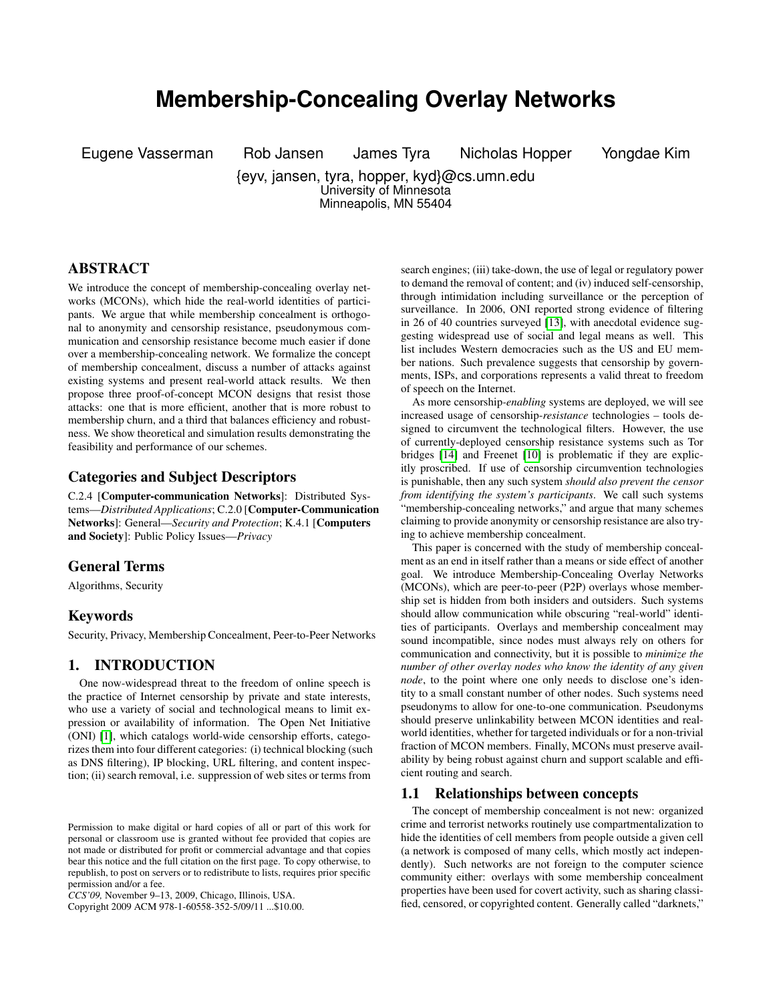# **Membership-Concealing Overlay Networks**

Eugene Vasserman Rob Jansen James Tyra Nicholas Hopper Yongdae Kim

{eyv, jansen, tyra, hopper, kyd}@cs.umn.edu University of Minnesota Minneapolis, MN 55404

# ABSTRACT

We introduce the concept of membership-concealing overlay networks (MCONs), which hide the real-world identities of participants. We argue that while membership concealment is orthogonal to anonymity and censorship resistance, pseudonymous communication and censorship resistance become much easier if done over a membership-concealing network. We formalize the concept of membership concealment, discuss a number of attacks against existing systems and present real-world attack results. We then propose three proof-of-concept MCON designs that resist those attacks: one that is more efficient, another that is more robust to membership churn, and a third that balances efficiency and robustness. We show theoretical and simulation results demonstrating the feasibility and performance of our schemes.

## Categories and Subject Descriptors

C.2.4 [Computer-communication Networks]: Distributed Systems—*Distributed Applications*; C.2.0 [Computer-Communication Networks]: General—*Security and Protection*; K.4.1 [Computers and Society]: Public Policy Issues—*Privacy*

## General Terms

Algorithms, Security

## Keywords

Security, Privacy, Membership Concealment, Peer-to-Peer Networks

## 1. INTRODUCTION

One now-widespread threat to the freedom of online speech is the practice of Internet censorship by private and state interests, who use a variety of social and technological means to limit expression or availability of information. The Open Net Initiative (ONI) [\[1\]](#page-9-0), which catalogs world-wide censorship efforts, categorizes them into four different categories: (i) technical blocking (such as DNS filtering), IP blocking, URL filtering, and content inspection; (ii) search removal, i.e. suppression of web sites or terms from

Copyright 2009 ACM 978-1-60558-352-5/09/11 ...\$10.00.

search engines; (iii) take-down, the use of legal or regulatory power to demand the removal of content; and (iv) induced self-censorship, through intimidation including surveillance or the perception of surveillance. In 2006, ONI reported strong evidence of filtering in 26 of 40 countries surveyed [\[13\]](#page-9-1), with anecdotal evidence suggesting widespread use of social and legal means as well. This list includes Western democracies such as the US and EU member nations. Such prevalence suggests that censorship by governments, ISPs, and corporations represents a valid threat to freedom of speech on the Internet.

As more censorship*-enabling* systems are deployed, we will see increased usage of censorship-*resistance* technologies – tools designed to circumvent the technological filters. However, the use of currently-deployed censorship resistance systems such as Tor bridges [\[14\]](#page-9-2) and Freenet [\[10\]](#page-9-3) is problematic if they are explicitly proscribed. If use of censorship circumvention technologies is punishable, then any such system *should also prevent the censor from identifying the system's participants*. We call such systems "membership-concealing networks," and argue that many schemes claiming to provide anonymity or censorship resistance are also trying to achieve membership concealment.

This paper is concerned with the study of membership concealment as an end in itself rather than a means or side effect of another goal. We introduce Membership-Concealing Overlay Networks (MCONs), which are peer-to-peer (P2P) overlays whose membership set is hidden from both insiders and outsiders. Such systems should allow communication while obscuring "real-world" identities of participants. Overlays and membership concealment may sound incompatible, since nodes must always rely on others for communication and connectivity, but it is possible to *minimize the number of other overlay nodes who know the identity of any given node*, to the point where one only needs to disclose one's identity to a small constant number of other nodes. Such systems need pseudonyms to allow for one-to-one communication. Pseudonyms should preserve unlinkability between MCON identities and realworld identities, whether for targeted individuals or for a non-trivial fraction of MCON members. Finally, MCONs must preserve availability by being robust against churn and support scalable and efficient routing and search.

#### 1.1 Relationships between concepts

The concept of membership concealment is not new: organized crime and terrorist networks routinely use compartmentalization to hide the identities of cell members from people outside a given cell (a network is composed of many cells, which mostly act independently). Such networks are not foreign to the computer science community either: overlays with some membership concealment properties have been used for covert activity, such as sharing classified, censored, or copyrighted content. Generally called "darknets,"

Permission to make digital or hard copies of all or part of this work for personal or classroom use is granted without fee provided that copies are not made or distributed for profit or commercial advantage and that copies bear this notice and the full citation on the first page. To copy otherwise, to republish, to post on servers or to redistribute to lists, requires prior specific permission and/or a fee.

*CCS'09,* November 9–13, 2009, Chicago, Illinois, USA.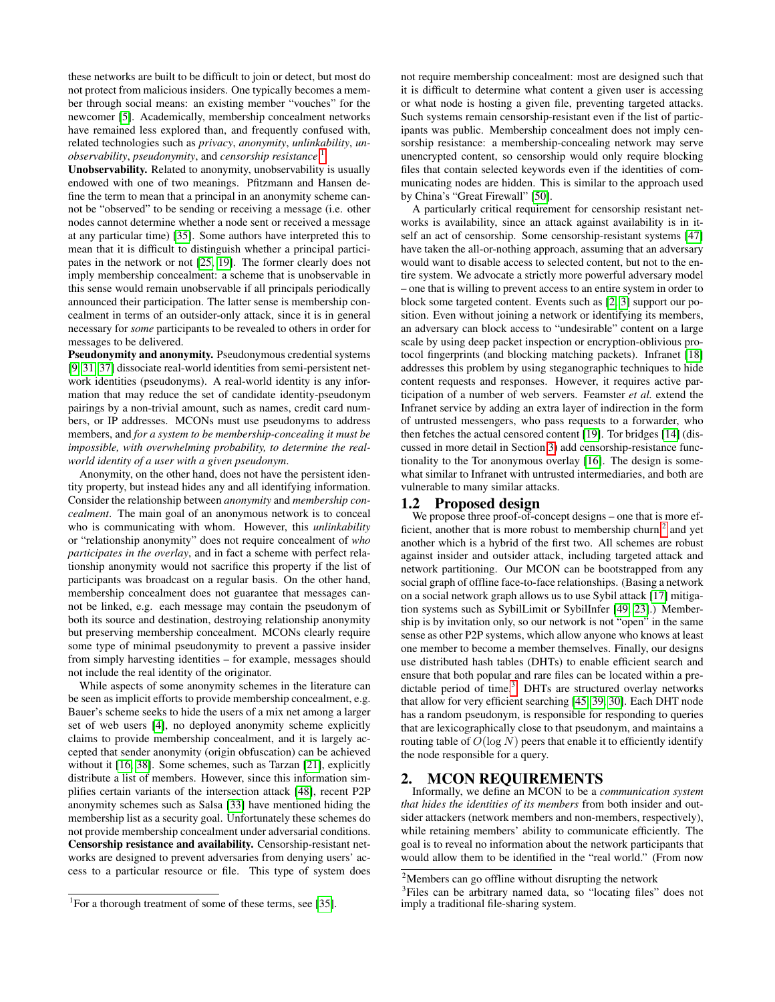these networks are built to be difficult to join or detect, but most do not protect from malicious insiders. One typically becomes a member through social means: an existing member "vouches" for the newcomer [\[5\]](#page-9-4). Academically, membership concealment networks have remained less explored than, and frequently confused with, related technologies such as *privacy*, *anonymity*, *unlinkability*, *unobservability*, *pseudonymity*, and *censorship resistance*. [1](#page-1-0)

Unobservability. Related to anonymity, unobservability is usually endowed with one of two meanings. Pfitzmann and Hansen define the term to mean that a principal in an anonymity scheme cannot be "observed" to be sending or receiving a message (i.e. other nodes cannot determine whether a node sent or received a message at any particular time) [\[35\]](#page-9-5). Some authors have interpreted this to mean that it is difficult to distinguish whether a principal participates in the network or not [\[25,](#page-9-6) [19\]](#page-9-7). The former clearly does not imply membership concealment: a scheme that is unobservable in this sense would remain unobservable if all principals periodically announced their participation. The latter sense is membership concealment in terms of an outsider-only attack, since it is in general necessary for *some* participants to be revealed to others in order for messages to be delivered.

Pseudonymity and anonymity. Pseudonymous credential systems [\[9,](#page-9-8) [31,](#page-9-9) [37\]](#page-9-10) dissociate real-world identities from semi-persistent network identities (pseudonyms). A real-world identity is any information that may reduce the set of candidate identity-pseudonym pairings by a non-trivial amount, such as names, credit card numbers, or IP addresses. MCONs must use pseudonyms to address members, and *for a system to be membership-concealing it must be impossible, with overwhelming probability, to determine the realworld identity of a user with a given pseudonym*.

Anonymity, on the other hand, does not have the persistent identity property, but instead hides any and all identifying information. Consider the relationship between *anonymity* and *membership concealment*. The main goal of an anonymous network is to conceal who is communicating with whom. However, this *unlinkability* or "relationship anonymity" does not require concealment of *who participates in the overlay*, and in fact a scheme with perfect relationship anonymity would not sacrifice this property if the list of participants was broadcast on a regular basis. On the other hand, membership concealment does not guarantee that messages cannot be linked, e.g. each message may contain the pseudonym of both its source and destination, destroying relationship anonymity but preserving membership concealment. MCONs clearly require some type of minimal pseudonymity to prevent a passive insider from simply harvesting identities – for example, messages should not include the real identity of the originator.

While aspects of some anonymity schemes in the literature can be seen as implicit efforts to provide membership concealment, e.g. Bauer's scheme seeks to hide the users of a mix net among a larger set of web users [\[4\]](#page-9-11), no deployed anonymity scheme explicitly claims to provide membership concealment, and it is largely accepted that sender anonymity (origin obfuscation) can be achieved without it [\[16,](#page-9-12) [38\]](#page-9-13). Some schemes, such as Tarzan [\[21\]](#page-9-14), explicitly distribute a list of members. However, since this information simplifies certain variants of the intersection attack [\[48\]](#page-9-15), recent P2P anonymity schemes such as Salsa [\[33\]](#page-9-16) have mentioned hiding the membership list as a security goal. Unfortunately these schemes do not provide membership concealment under adversarial conditions. Censorship resistance and availability. Censorship-resistant networks are designed to prevent adversaries from denying users' access to a particular resource or file. This type of system does not require membership concealment: most are designed such that it is difficult to determine what content a given user is accessing or what node is hosting a given file, preventing targeted attacks. Such systems remain censorship-resistant even if the list of participants was public. Membership concealment does not imply censorship resistance: a membership-concealing network may serve unencrypted content, so censorship would only require blocking files that contain selected keywords even if the identities of communicating nodes are hidden. This is similar to the approach used by China's "Great Firewall" [\[50\]](#page-9-17).

A particularly critical requirement for censorship resistant networks is availability, since an attack against availability is in itself an act of censorship. Some censorship-resistant systems [\[47\]](#page-9-18) have taken the all-or-nothing approach, assuming that an adversary would want to disable access to selected content, but not to the entire system. We advocate a strictly more powerful adversary model – one that is willing to prevent access to an entire system in order to block some targeted content. Events such as [\[2,](#page-9-19) [3\]](#page-9-20) support our position. Even without joining a network or identifying its members, an adversary can block access to "undesirable" content on a large scale by using deep packet inspection or encryption-oblivious protocol fingerprints (and blocking matching packets). Infranet [\[18\]](#page-9-21) addresses this problem by using steganographic techniques to hide content requests and responses. However, it requires active participation of a number of web servers. Feamster *et al.* extend the Infranet service by adding an extra layer of indirection in the form of untrusted messengers, who pass requests to a forwarder, who then fetches the actual censored content [\[19\]](#page-9-7). Tor bridges [\[14\]](#page-9-2) (discussed in more detail in Section [3\)](#page-2-0) add censorship-resistance functionality to the Tor anonymous overlay [\[16\]](#page-9-12). The design is somewhat similar to Infranet with untrusted intermediaries, and both are vulnerable to many similar attacks.

#### 1.2 Proposed design

We propose three proof-of-concept designs – one that is more efficient, another that is more robust to membership churn, $<sup>2</sup>$  $<sup>2</sup>$  $<sup>2</sup>$  and yet</sup> another which is a hybrid of the first two. All schemes are robust against insider and outsider attack, including targeted attack and network partitioning. Our MCON can be bootstrapped from any social graph of offline face-to-face relationships. (Basing a network on a social network graph allows us to use Sybil attack [\[17\]](#page-9-22) mitigation systems such as SybilLimit or SybilInfer [\[49,](#page-9-23) [23\]](#page-9-24).) Membership is by invitation only, so our network is not "open" in the same sense as other P2P systems, which allow anyone who knows at least one member to become a member themselves. Finally, our designs use distributed hash tables (DHTs) to enable efficient search and ensure that both popular and rare files can be located within a pre-dictable period of time.<sup>[3](#page-1-2)</sup> DHTs are structured overlay networks that allow for very efficient searching [\[45,](#page-9-25) [39,](#page-9-26) [30\]](#page-9-27). Each DHT node has a random pseudonym, is responsible for responding to queries that are lexicographically close to that pseudonym, and maintains a routing table of  $O(\log N)$  peers that enable it to efficiently identify the node responsible for a query.

## 2. MCON REQUIREMENTS

Informally, we define an MCON to be a *communication system that hides the identities of its members* from both insider and outsider attackers (network members and non-members, respectively), while retaining members' ability to communicate efficiently. The goal is to reveal no information about the network participants that would allow them to be identified in the "real world." (From now

<span id="page-1-0"></span><sup>&</sup>lt;sup>1</sup>For a thorough treatment of some of these terms, see [\[35\]](#page-9-5).

<span id="page-1-1"></span><sup>2</sup>Members can go offline without disrupting the network

<span id="page-1-2"></span><sup>&</sup>lt;sup>3</sup>Files can be arbitrary named data, so "locating files" does not imply a traditional file-sharing system.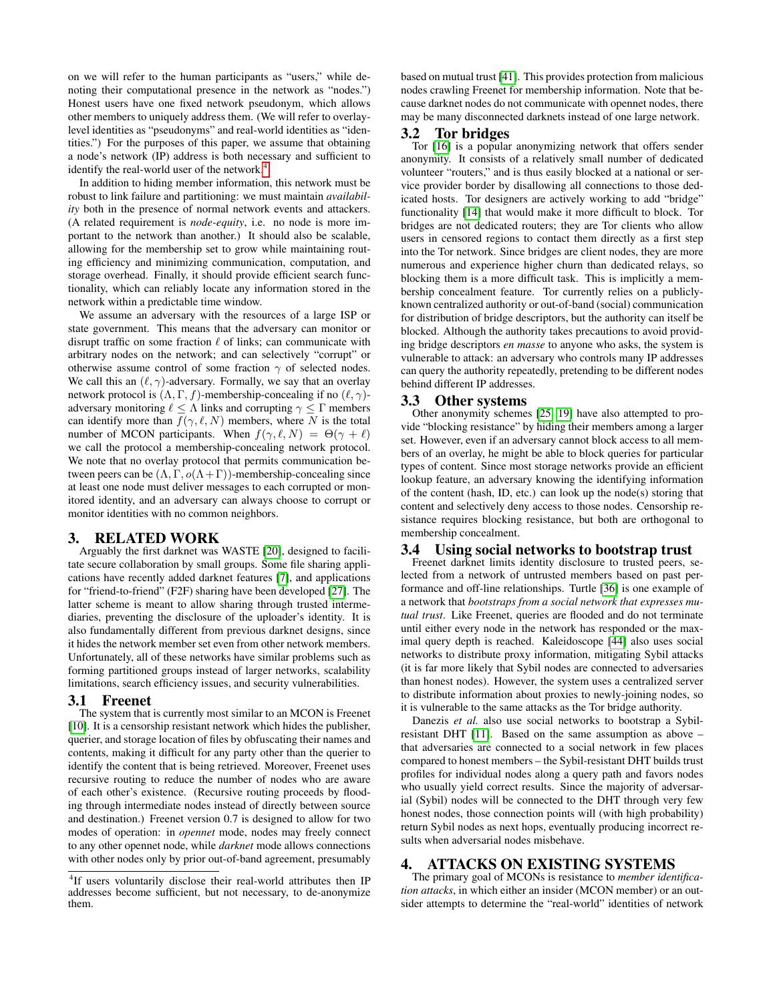on we will refer to the human participants as "users," while denoting their computational presence in the network as "nodes.") Honest users have one fixed network pseudonym, which allows other members to uniquely address them. (We will refer to overlaylevel identities as "pseudonyms" and real-world identities as "identities.") For the purposes of this paper, we assume that obtaining a node's network (IP) address is both necessary and sufficient to identify the real-world user of the network.<sup>[4](#page-2-1)</sup>

In addition to hiding member information, this network must be robust to link failure and partitioning: we must maintain *availability* both in the presence of normal network events and attackers. (A related requirement is *node-equity*, i.e. no node is more important to the network than another.) It should also be scalable, allowing for the membership set to grow while maintaining routing efficiency and minimizing communication, computation, and storage overhead. Finally, it should provide efficient search functionality, which can reliably locate any information stored in the network within a predictable time window.

We assume an adversary with the resources of a large ISP or state government. This means that the adversary can monitor or disrupt traffic on some fraction  $\ell$  of links; can communicate with arbitrary nodes on the network; and can selectively "corrupt" or otherwise assume control of some fraction  $\gamma$  of selected nodes. We call this an  $(\ell, \gamma)$ -adversary. Formally, we say that an overlay network protocol is  $(\Lambda, \Gamma, f)$ -membership-concealing if no  $(\ell, \gamma)$ adversary monitoring  $\ell \leq \Lambda$  links and corrupting  $\gamma \leq \Gamma$  members can identify more than  $f(\gamma, \ell, N)$  members, where N is the total number of MCON participants. When  $f(\gamma, \ell, N) = \Theta(\gamma + \ell)$ we call the protocol a membership-concealing network protocol. We note that no overlay protocol that permits communication between peers can be  $(\Lambda, \Gamma, o(\Lambda + \Gamma))$ -membership-concealing since at least one node must deliver messages to each corrupted or monitored identity, and an adversary can always choose to corrupt or monitor identities with no common neighbors.

## <span id="page-2-0"></span>3. RELATED WORK

Arguably the first darknet was WASTE [\[20\]](#page-9-28), designed to facilitate secure collaboration by small groups. Some file sharing applications have recently added darknet features [\[7\]](#page-9-29), and applications for "friend-to-friend" (F2F) sharing have been developed [\[27\]](#page-9-30). The latter scheme is meant to allow sharing through trusted intermediaries, preventing the disclosure of the uploader's identity. It is also fundamentally different from previous darknet designs, since it hides the network member set even from other network members. Unfortunately, all of these networks have similar problems such as forming partitioned groups instead of larger networks, scalability limitations, search efficiency issues, and security vulnerabilities.

#### 3.1 Freenet

The system that is currently most similar to an MCON is Freenet [\[10\]](#page-9-3). It is a censorship resistant network which hides the publisher, querier, and storage location of files by obfuscating their names and contents, making it difficult for any party other than the querier to identify the content that is being retrieved. Moreover, Freenet uses recursive routing to reduce the number of nodes who are aware of each other's existence. (Recursive routing proceeds by flooding through intermediate nodes instead of directly between source and destination.) Freenet version 0.7 is designed to allow for two modes of operation: in *opennet* mode, nodes may freely connect to any other opennet node, while *darknet* mode allows connections with other nodes only by prior out-of-band agreement, presumably

based on mutual trust [\[41\]](#page-9-31). This provides protection from malicious nodes crawling Freenet for membership information. Note that because darknet nodes do not communicate with opennet nodes, there may be many disconnected darknets instead of one large network.

#### 3.2 Tor bridges

Tor [\[16\]](#page-9-12) is a popular anonymizing network that offers sender anonymity. It consists of a relatively small number of dedicated volunteer "routers," and is thus easily blocked at a national or service provider border by disallowing all connections to those dedicated hosts. Tor designers are actively working to add "bridge" functionality [\[14\]](#page-9-2) that would make it more difficult to block. Tor bridges are not dedicated routers; they are Tor clients who allow users in censored regions to contact them directly as a first step into the Tor network. Since bridges are client nodes, they are more numerous and experience higher churn than dedicated relays, so blocking them is a more difficult task. This is implicitly a membership concealment feature. Tor currently relies on a publiclyknown centralized authority or out-of-band (social) communication for distribution of bridge descriptors, but the authority can itself be blocked. Although the authority takes precautions to avoid providing bridge descriptors *en masse* to anyone who asks, the system is vulnerable to attack: an adversary who controls many IP addresses can query the authority repeatedly, pretending to be different nodes behind different IP addresses.

#### 3.3 Other systems

Other anonymity schemes [\[25,](#page-9-6) [19\]](#page-9-7) have also attempted to provide "blocking resistance" by hiding their members among a larger set. However, even if an adversary cannot block access to all members of an overlay, he might be able to block queries for particular types of content. Since most storage networks provide an efficient lookup feature, an adversary knowing the identifying information of the content (hash, ID, etc.) can look up the node(s) storing that content and selectively deny access to those nodes. Censorship resistance requires blocking resistance, but both are orthogonal to membership concealment.

#### 3.4 Using social networks to bootstrap trust

Freenet darknet limits identity disclosure to trusted peers, selected from a network of untrusted members based on past performance and off-line relationships. Turtle [\[36\]](#page-9-32) is one example of a network that *bootstraps from a social network that expresses mutual trust*. Like Freenet, queries are flooded and do not terminate until either every node in the network has responded or the maximal query depth is reached. Kaleidoscope [\[44\]](#page-9-33) also uses social networks to distribute proxy information, mitigating Sybil attacks (it is far more likely that Sybil nodes are connected to adversaries than honest nodes). However, the system uses a centralized server to distribute information about proxies to newly-joining nodes, so it is vulnerable to the same attacks as the Tor bridge authority.

Danezis *et al.* also use social networks to bootstrap a Sybilresistant DHT [\[11\]](#page-9-34). Based on the same assumption as above – that adversaries are connected to a social network in few places compared to honest members – the Sybil-resistant DHT builds trust profiles for individual nodes along a query path and favors nodes who usually yield correct results. Since the majority of adversarial (Sybil) nodes will be connected to the DHT through very few honest nodes, those connection points will (with high probability) return Sybil nodes as next hops, eventually producing incorrect results when adversarial nodes misbehave.

# 4. ATTACKS ON EXISTING SYSTEMS

The primary goal of MCONs is resistance to *member identification attacks*, in which either an insider (MCON member) or an outsider attempts to determine the "real-world" identities of network

<span id="page-2-1"></span><sup>&</sup>lt;sup>4</sup>If users voluntarily disclose their real-world attributes then IP addresses become sufficient, but not necessary, to de-anonymize them.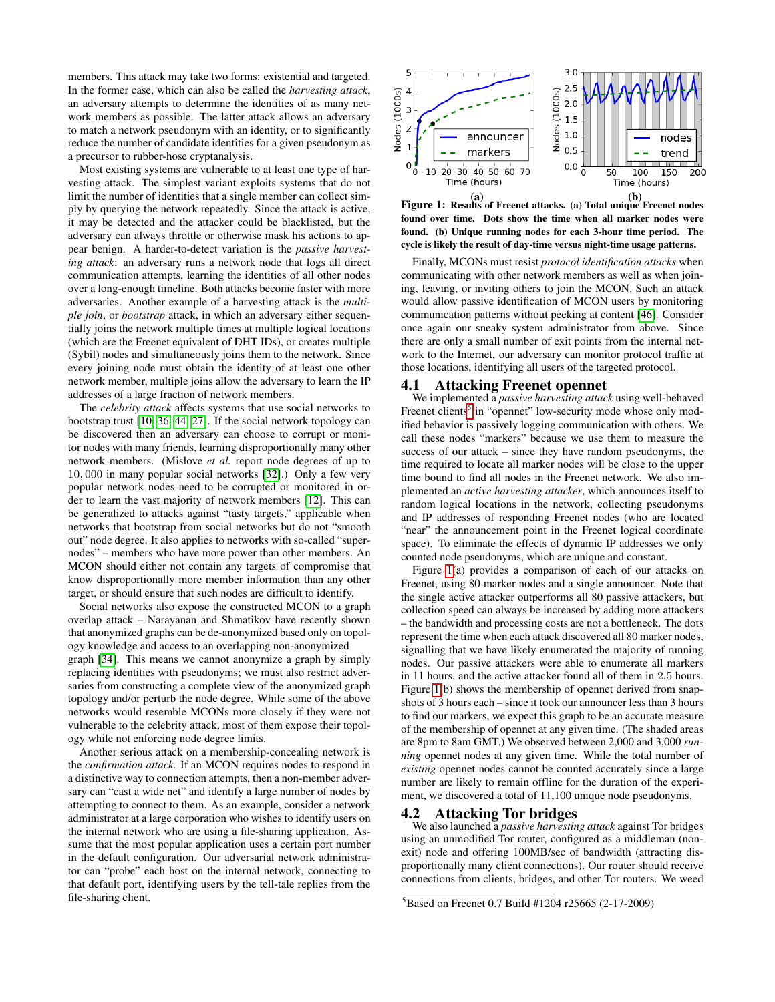members. This attack may take two forms: existential and targeted. In the former case, which can also be called the *harvesting attack*, an adversary attempts to determine the identities of as many network members as possible. The latter attack allows an adversary to match a network pseudonym with an identity, or to significantly reduce the number of candidate identities for a given pseudonym as a precursor to rubber-hose cryptanalysis.

Most existing systems are vulnerable to at least one type of harvesting attack. The simplest variant exploits systems that do not limit the number of identities that a single member can collect simply by querying the network repeatedly. Since the attack is active, it may be detected and the attacker could be blacklisted, but the adversary can always throttle or otherwise mask his actions to appear benign. A harder-to-detect variation is the *passive harvesting attack*: an adversary runs a network node that logs all direct communication attempts, learning the identities of all other nodes over a long-enough timeline. Both attacks become faster with more adversaries. Another example of a harvesting attack is the *multiple join*, or *bootstrap* attack, in which an adversary either sequentially joins the network multiple times at multiple logical locations (which are the Freenet equivalent of DHT IDs), or creates multiple (Sybil) nodes and simultaneously joins them to the network. Since every joining node must obtain the identity of at least one other network member, multiple joins allow the adversary to learn the IP addresses of a large fraction of network members.

The *celebrity attack* affects systems that use social networks to bootstrap trust [\[10,](#page-9-3) [36,](#page-9-32) [44,](#page-9-33) [27\]](#page-9-30). If the social network topology can be discovered then an adversary can choose to corrupt or monitor nodes with many friends, learning disproportionally many other network members. (Mislove *et al.* report node degrees of up to 10, 000 in many popular social networks [\[32\]](#page-9-35).) Only a few very popular network nodes need to be corrupted or monitored in order to learn the vast majority of network members [\[12\]](#page-9-36). This can be generalized to attacks against "tasty targets," applicable when networks that bootstrap from social networks but do not "smooth out" node degree. It also applies to networks with so-called "supernodes" – members who have more power than other members. An MCON should either not contain any targets of compromise that know disproportionally more member information than any other target, or should ensure that such nodes are difficult to identify.

Social networks also expose the constructed MCON to a graph overlap attack – Narayanan and Shmatikov have recently shown that anonymized graphs can be de-anonymized based only on topology knowledge and access to an overlapping non-anonymized graph [\[34\]](#page-9-37). This means we cannot anonymize a graph by simply replacing identities with pseudonyms; we must also restrict adversaries from constructing a complete view of the anonymized graph topology and/or perturb the node degree. While some of the above networks would resemble MCONs more closely if they were not vulnerable to the celebrity attack, most of them expose their topology while not enforcing node degree limits.

Another serious attack on a membership-concealing network is the *confirmation attack*. If an MCON requires nodes to respond in a distinctive way to connection attempts, then a non-member adversary can "cast a wide net" and identify a large number of nodes by attempting to connect to them. As an example, consider a network administrator at a large corporation who wishes to identify users on the internal network who are using a file-sharing application. Assume that the most popular application uses a certain port number in the default configuration. Our adversarial network administrator can "probe" each host on the internal network, connecting to that default port, identifying users by the tell-tale replies from the file-sharing client.



<span id="page-3-1"></span>(a) (b) Figure 1: Results of Freenet attacks. (a) Total unique Freenet nodes found over time. Dots show the time when all marker nodes were found. (b) Unique running nodes for each 3-hour time period. The cycle is likely the result of day-time versus night-time usage patterns.

Finally, MCONs must resist *protocol identification attacks* when communicating with other network members as well as when joining, leaving, or inviting others to join the MCON. Such an attack would allow passive identification of MCON users by monitoring communication patterns without peeking at content [\[46\]](#page-9-38). Consider once again our sneaky system administrator from above. Since there are only a small number of exit points from the internal network to the Internet, our adversary can monitor protocol traffic at those locations, identifying all users of the targeted protocol.

## 4.1 Attacking Freenet opennet

We implemented a *passive harvesting attack* using well-behaved Freenet clients<sup>[5](#page-3-0)</sup> in "opennet" low-security mode whose only modified behavior is passively logging communication with others. We call these nodes "markers" because we use them to measure the success of our attack – since they have random pseudonyms, the time required to locate all marker nodes will be close to the upper time bound to find all nodes in the Freenet network. We also implemented an *active harvesting attacker*, which announces itself to random logical locations in the network, collecting pseudonyms and IP addresses of responding Freenet nodes (who are located "near" the announcement point in the Freenet logical coordinate space). To eliminate the effects of dynamic IP addresses we only counted node pseudonyms, which are unique and constant.

Figure [1\(](#page-3-1)a) provides a comparison of each of our attacks on Freenet, using 80 marker nodes and a single announcer. Note that the single active attacker outperforms all 80 passive attackers, but collection speed can always be increased by adding more attackers – the bandwidth and processing costs are not a bottleneck. The dots represent the time when each attack discovered all 80 marker nodes, signalling that we have likely enumerated the majority of running nodes. Our passive attackers were able to enumerate all markers in 11 hours, and the active attacker found all of them in 2.5 hours. Figure [1\(](#page-3-1)b) shows the membership of opennet derived from snapshots of 3 hours each – since it took our announcer less than 3 hours to find our markers, we expect this graph to be an accurate measure of the membership of opennet at any given time. (The shaded areas are 8pm to 8am GMT.) We observed between 2,000 and 3,000 *running* opennet nodes at any given time. While the total number of *existing* opennet nodes cannot be counted accurately since a large number are likely to remain offline for the duration of the experiment, we discovered a total of 11,100 unique node pseudonyms.

## 4.2 Attacking Tor bridges

We also launched a *passive harvesting attack* against Tor bridges using an unmodified Tor router, configured as a middleman (nonexit) node and offering 100MB/sec of bandwidth (attracting disproportionally many client connections). Our router should receive connections from clients, bridges, and other Tor routers. We weed

<span id="page-3-0"></span><sup>5</sup>Based on Freenet 0.7 Build #1204 r25665 (2-17-2009)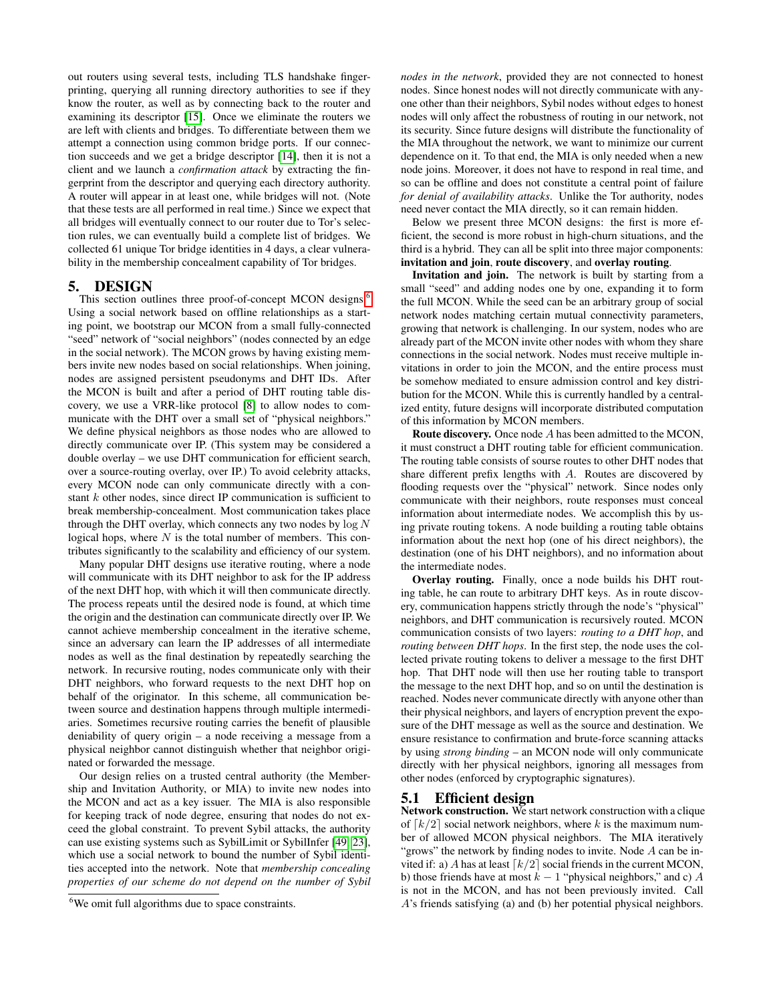out routers using several tests, including TLS handshake fingerprinting, querying all running directory authorities to see if they know the router, as well as by connecting back to the router and examining its descriptor [\[15\]](#page-9-39). Once we eliminate the routers we are left with clients and bridges. To differentiate between them we attempt a connection using common bridge ports. If our connection succeeds and we get a bridge descriptor [\[14\]](#page-9-2), then it is not a client and we launch a *confirmation attack* by extracting the fingerprint from the descriptor and querying each directory authority. A router will appear in at least one, while bridges will not. (Note that these tests are all performed in real time.) Since we expect that all bridges will eventually connect to our router due to Tor's selection rules, we can eventually build a complete list of bridges. We collected 61 unique Tor bridge identities in 4 days, a clear vulnerability in the membership concealment capability of Tor bridges.

## 5. DESIGN

This section outlines three proof-of-concept MCON designs.<sup>[6](#page-4-0)</sup> Using a social network based on offline relationships as a starting point, we bootstrap our MCON from a small fully-connected "seed" network of "social neighbors" (nodes connected by an edge in the social network). The MCON grows by having existing members invite new nodes based on social relationships. When joining, nodes are assigned persistent pseudonyms and DHT IDs. After the MCON is built and after a period of DHT routing table discovery, we use a VRR-like protocol [\[8\]](#page-9-40) to allow nodes to communicate with the DHT over a small set of "physical neighbors." We define physical neighbors as those nodes who are allowed to directly communicate over IP. (This system may be considered a double overlay – we use DHT communication for efficient search, over a source-routing overlay, over IP.) To avoid celebrity attacks, every MCON node can only communicate directly with a constant k other nodes, since direct IP communication is sufficient to break membership-concealment. Most communication takes place through the DHT overlay, which connects any two nodes by  $\log N$ logical hops, where  $N$  is the total number of members. This contributes significantly to the scalability and efficiency of our system.

Many popular DHT designs use iterative routing, where a node will communicate with its DHT neighbor to ask for the IP address of the next DHT hop, with which it will then communicate directly. The process repeats until the desired node is found, at which time the origin and the destination can communicate directly over IP. We cannot achieve membership concealment in the iterative scheme, since an adversary can learn the IP addresses of all intermediate nodes as well as the final destination by repeatedly searching the network. In recursive routing, nodes communicate only with their DHT neighbors, who forward requests to the next DHT hop on behalf of the originator. In this scheme, all communication between source and destination happens through multiple intermediaries. Sometimes recursive routing carries the benefit of plausible deniability of query origin – a node receiving a message from a physical neighbor cannot distinguish whether that neighbor originated or forwarded the message.

Our design relies on a trusted central authority (the Membership and Invitation Authority, or MIA) to invite new nodes into the MCON and act as a key issuer. The MIA is also responsible for keeping track of node degree, ensuring that nodes do not exceed the global constraint. To prevent Sybil attacks, the authority can use existing systems such as SybilLimit or SybilInfer [\[49,](#page-9-23) [23\]](#page-9-24), which use a social network to bound the number of Sybil identities accepted into the network. Note that *membership concealing properties of our scheme do not depend on the number of Sybil*

*nodes in the network*, provided they are not connected to honest nodes. Since honest nodes will not directly communicate with anyone other than their neighbors, Sybil nodes without edges to honest nodes will only affect the robustness of routing in our network, not its security. Since future designs will distribute the functionality of the MIA throughout the network, we want to minimize our current dependence on it. To that end, the MIA is only needed when a new node joins. Moreover, it does not have to respond in real time, and so can be offline and does not constitute a central point of failure *for denial of availability attacks*. Unlike the Tor authority, nodes need never contact the MIA directly, so it can remain hidden.

Below we present three MCON designs: the first is more efficient, the second is more robust in high-churn situations, and the third is a hybrid. They can all be split into three major components: invitation and join, route discovery, and overlay routing.

Invitation and join. The network is built by starting from a small "seed" and adding nodes one by one, expanding it to form the full MCON. While the seed can be an arbitrary group of social network nodes matching certain mutual connectivity parameters, growing that network is challenging. In our system, nodes who are already part of the MCON invite other nodes with whom they share connections in the social network. Nodes must receive multiple invitations in order to join the MCON, and the entire process must be somehow mediated to ensure admission control and key distribution for the MCON. While this is currently handled by a centralized entity, future designs will incorporate distributed computation of this information by MCON members.

Route discovery. Once node A has been admitted to the MCON, it must construct a DHT routing table for efficient communication. The routing table consists of sourse routes to other DHT nodes that share different prefix lengths with A. Routes are discovered by flooding requests over the "physical" network. Since nodes only communicate with their neighbors, route responses must conceal information about intermediate nodes. We accomplish this by using private routing tokens. A node building a routing table obtains information about the next hop (one of his direct neighbors), the destination (one of his DHT neighbors), and no information about the intermediate nodes.

Overlay routing. Finally, once a node builds his DHT routing table, he can route to arbitrary DHT keys. As in route discovery, communication happens strictly through the node's "physical" neighbors, and DHT communication is recursively routed. MCON communication consists of two layers: *routing to a DHT hop*, and *routing between DHT hops*. In the first step, the node uses the collected private routing tokens to deliver a message to the first DHT hop. That DHT node will then use her routing table to transport the message to the next DHT hop, and so on until the destination is reached. Nodes never communicate directly with anyone other than their physical neighbors, and layers of encryption prevent the exposure of the DHT message as well as the source and destination. We ensure resistance to confirmation and brute-force scanning attacks by using *strong binding* – an MCON node will only communicate directly with her physical neighbors, ignoring all messages from other nodes (enforced by cryptographic signatures).

## 5.1 Efficient design

Network construction. We start network construction with a clique of  $\lceil k/2 \rceil$  social network neighbors, where k is the maximum number of allowed MCON physical neighbors. The MIA iteratively "grows" the network by finding nodes to invite. Node  $A$  can be invited if: a) A has at least  $\lceil k/2 \rceil$  social friends in the current MCON, b) those friends have at most  $k - 1$  "physical neighbors," and c) A is not in the MCON, and has not been previously invited. Call A's friends satisfying (a) and (b) her potential physical neighbors.

<span id="page-4-0"></span><sup>&</sup>lt;sup>6</sup>We omit full algorithms due to space constraints.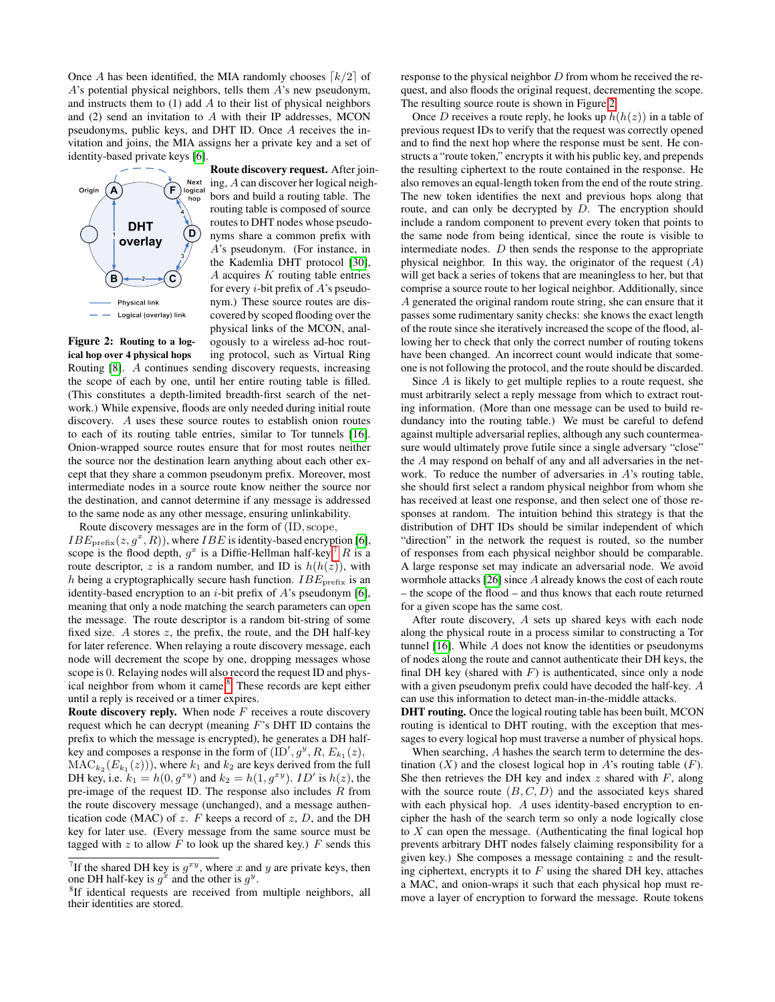Once A has been identified, the MIA randomly chooses  $\lceil k/2 \rceil$  of A's potential physical neighbors, tells them A's new pseudonym, and instructs them to  $(1)$  add  $A$  to their list of physical neighbors and  $(2)$  send an invitation to  $A$  with their IP addresses, MCON pseudonyms, public keys, and DHT ID. Once A receives the invitation and joins, the MIA assigns her a private key and a set of identity-based private keys [\[6\]](#page-9-41).



<span id="page-5-2"></span>Figure 2: Routing to a log-

#### Route discovery request. After joining, A can discover her logical neighbors and build a routing table. The routing table is composed of source routes to DHT nodes whose pseudonyms share a common prefix with A's pseudonym. (For instance, in the Kademlia DHT protocol [\[30\]](#page-9-27),  $A$  acquires  $K$  routing table entries for every *i*-bit prefix of  $A$ 's pseudonym.) These source routes are discovered by scoped flooding over the physical links of the MCON, analogously to a wireless ad-hoc routing protocol, such as Virtual Ring

ical hop over 4 physical hops Routing [\[8\]](#page-9-40). A continues sending discovery requests, increasing the scope of each by one, until her entire routing table is filled. (This constitutes a depth-limited breadth-first search of the network.) While expensive, floods are only needed during initial route discovery. A uses these source routes to establish onion routes to each of its routing table entries, similar to Tor tunnels [\[16\]](#page-9-12). Onion-wrapped source routes ensure that for most routes neither the source nor the destination learn anything about each other except that they share a common pseudonym prefix. Moreover, most intermediate nodes in a source route know neither the source nor the destination, and cannot determine if any message is addressed to the same node as any other message, ensuring unlinkability.

Route discovery messages are in the form of (ID, scope,  $IBE_{\text{prefix}}(z, g^x, R))$ , where  $IBE$  is identity-based encryption [\[6\]](#page-9-41), scope is the flood depth,  $g^x$  is a Diffie-Hellman half-key,<sup>[7](#page-5-0)</sup> R is a route descriptor, z is a random number, and ID is  $h(h(z))$ , with h being a cryptographically secure hash function.  $IBE_{\text{prefix}}$  is an identity-based encryption to an *i*-bit prefix of  $A$ 's pseudonym [\[6\]](#page-9-41), meaning that only a node matching the search parameters can open the message. The route descriptor is a random bit-string of some fixed size. A stores  $z$ , the prefix, the route, and the DH half-key for later reference. When relaying a route discovery message, each node will decrement the scope by one, dropping messages whose scope is 0. Relaying nodes will also record the request ID and phys-ical neighbor from whom it came.<sup>[8](#page-5-1)</sup> These records are kept either until a reply is received or a timer expires.

**Route discovery reply.** When node  $F$  receives a route discovery request which he can decrypt (meaning  $F$ 's DHT ID contains the prefix to which the message is encrypted), he generates a DH halfkey and composes a response in the form of  $(ID', g^y, R, E_{k_1}(z),$  $MAC_{k_2}(E_{k_1}(z))$ , where  $k_1$  and  $k_2$  are keys derived from the full DH key, i.e.  $k_1 = h(0, g^{xy})$  and  $k_2 = h(1, g^{xy})$ .  $ID'$  is  $h(z)$ , the pre-image of the request ID. The response also includes  $R$  from the route discovery message (unchanged), and a message authentication code (MAC) of z. F keeps a record of z, D, and the DH key for later use. (Every message from the same source must be tagged with z to allow F to look up the shared key.) F sends this response to the physical neighbor D from whom he received the request, and also floods the original request, decrementing the scope. The resulting source route is shown in Figure [2.](#page-5-2)

Once D receives a route reply, he looks up  $h(h(z))$  in a table of previous request IDs to verify that the request was correctly opened and to find the next hop where the response must be sent. He constructs a "route token," encrypts it with his public key, and prepends the resulting ciphertext to the route contained in the response. He also removes an equal-length token from the end of the route string. The new token identifies the next and previous hops along that route, and can only be decrypted by  $D$ . The encryption should include a random component to prevent every token that points to the same node from being identical, since the route is visible to intermediate nodes. D then sends the response to the appropriate physical neighbor. In this way, the originator of the request  $(A)$ will get back a series of tokens that are meaningless to her, but that comprise a source route to her logical neighbor. Additionally, since A generated the original random route string, she can ensure that it passes some rudimentary sanity checks: she knows the exact length of the route since she iteratively increased the scope of the flood, allowing her to check that only the correct number of routing tokens have been changed. An incorrect count would indicate that someone is not following the protocol, and the route should be discarded.

Since A is likely to get multiple replies to a route request, she must arbitrarily select a reply message from which to extract routing information. (More than one message can be used to build redundancy into the routing table.) We must be careful to defend against multiple adversarial replies, although any such countermeasure would ultimately prove futile since a single adversary "close" the A may respond on behalf of any and all adversaries in the network. To reduce the number of adversaries in A's routing table, she should first select a random physical neighbor from whom she has received at least one response, and then select one of those responses at random. The intuition behind this strategy is that the distribution of DHT IDs should be similar independent of which "direction" in the network the request is routed, so the number of responses from each physical neighbor should be comparable. A large response set may indicate an adversarial node. We avoid wormhole attacks [\[26\]](#page-9-42) since A already knows the cost of each route – the scope of the flood – and thus knows that each route returned for a given scope has the same cost.

After route discovery, A sets up shared keys with each node along the physical route in a process similar to constructing a Tor tunnel  $[16]$ . While  $A$  does not know the identities or pseudonyms of nodes along the route and cannot authenticate their DH keys, the final DH key (shared with  $F$ ) is authenticated, since only a node with a given pseudonym prefix could have decoded the half-key. A can use this information to detect man-in-the-middle attacks.

DHT routing. Once the logical routing table has been built, MCON routing is identical to DHT routing, with the exception that messages to every logical hop must traverse a number of physical hops.

When searching, A hashes the search term to determine the destination  $(X)$  and the closest logical hop in A's routing table  $(F)$ . She then retrieves the DH key and index  $z$  shared with  $F$ , along with the source route  $(B, C, D)$  and the associated keys shared with each physical hop. A uses identity-based encryption to encipher the hash of the search term so only a node logically close to  $X$  can open the message. (Authenticating the final logical hop prevents arbitrary DHT nodes falsely claiming responsibility for a given key.) She composes a message containing  $z$  and the resulting ciphertext, encrypts it to  $F$  using the shared DH key, attaches a MAC, and onion-wraps it such that each physical hop must remove a layer of encryption to forward the message. Route tokens

<span id="page-5-0"></span><sup>&</sup>lt;sup>7</sup>If the shared DH key is  $g^{xy}$ , where x and y are private keys, then one DH half-key is  $g^x$  and the other is  $g^y$ .

<span id="page-5-1"></span><sup>&</sup>lt;sup>8</sup>If identical requests are received from multiple neighbors, all their identities are stored.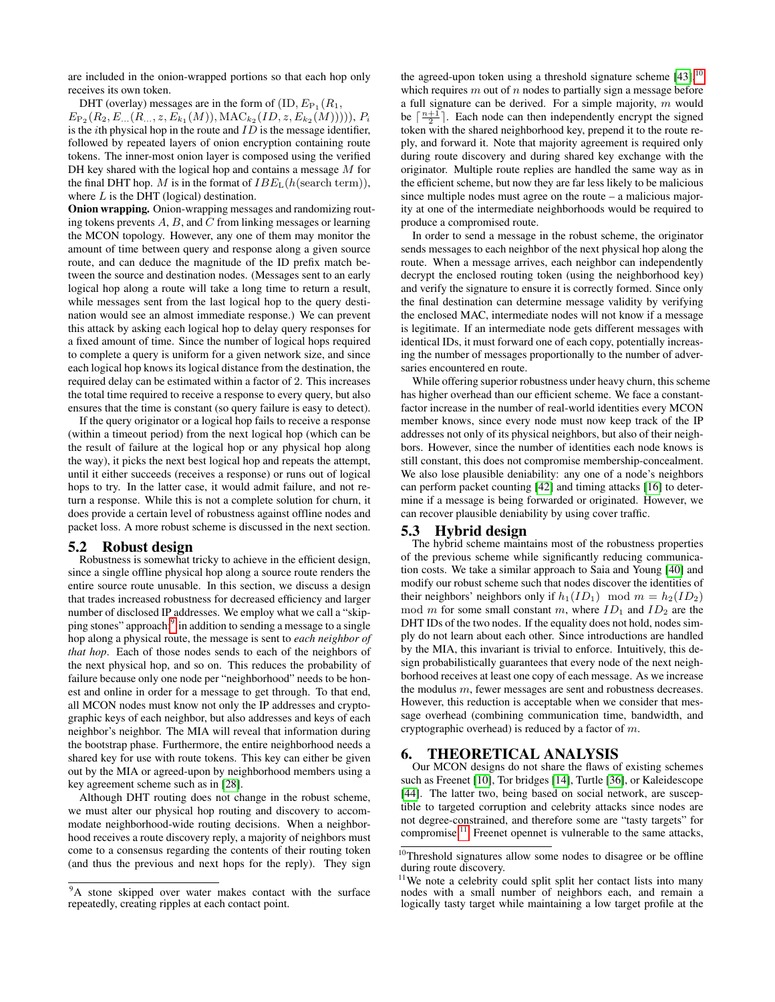are included in the onion-wrapped portions so that each hop only receives its own token.

DHT (overlay) messages are in the form of  $(ID, E_{P_1}(R_1,$  $E_{P_2}(R_2, E_{...}(R_{...}, z, E_{k_1}(M)), MAC_{k_2}(ID, z, E_{k_2}(M)))))$ ,  $P_i$ is the *i*th physical hop in the route and  $ID$  is the message identifier, followed by repeated layers of onion encryption containing route tokens. The inner-most onion layer is composed using the verified DH key shared with the logical hop and contains a message M for the final DHT hop. M is in the format of  $IBE<sub>L</sub>(h(\text{search term})),$ where  $L$  is the DHT (logical) destination.

Onion wrapping. Onion-wrapping messages and randomizing routing tokens prevents  $A$ ,  $B$ , and  $C$  from linking messages or learning the MCON topology. However, any one of them may monitor the amount of time between query and response along a given source route, and can deduce the magnitude of the ID prefix match between the source and destination nodes. (Messages sent to an early logical hop along a route will take a long time to return a result, while messages sent from the last logical hop to the query destination would see an almost immediate response.) We can prevent this attack by asking each logical hop to delay query responses for a fixed amount of time. Since the number of logical hops required to complete a query is uniform for a given network size, and since each logical hop knows its logical distance from the destination, the required delay can be estimated within a factor of 2. This increases the total time required to receive a response to every query, but also ensures that the time is constant (so query failure is easy to detect).

If the query originator or a logical hop fails to receive a response (within a timeout period) from the next logical hop (which can be the result of failure at the logical hop or any physical hop along the way), it picks the next best logical hop and repeats the attempt, until it either succeeds (receives a response) or runs out of logical hops to try. In the latter case, it would admit failure, and not return a response. While this is not a complete solution for churn, it does provide a certain level of robustness against offline nodes and packet loss. A more robust scheme is discussed in the next section.

#### 5.2 Robust design

Robustness is somewhat tricky to achieve in the efficient design, since a single offline physical hop along a source route renders the entire source route unusable. In this section, we discuss a design that trades increased robustness for decreased efficiency and larger number of disclosed IP addresses. We employ what we call a "skipping stones" approach: in addition to sending a message to a single hop along a physical route, the message is sent to *each neighbor of that hop*. Each of those nodes sends to each of the neighbors of the next physical hop, and so on. This reduces the probability of failure because only one node per "neighborhood" needs to be honest and online in order for a message to get through. To that end, all MCON nodes must know not only the IP addresses and cryptographic keys of each neighbor, but also addresses and keys of each neighbor's neighbor. The MIA will reveal that information during the bootstrap phase. Furthermore, the entire neighborhood needs a shared key for use with route tokens. This key can either be given out by the MIA or agreed-upon by neighborhood members using a key agreement scheme such as in [\[28\]](#page-9-43).

Although DHT routing does not change in the robust scheme, we must alter our physical hop routing and discovery to accommodate neighborhood-wide routing decisions. When a neighborhood receives a route discovery reply, a majority of neighbors must come to a consensus regarding the contents of their routing token (and thus the previous and next hops for the reply). They sign

the agreed-upon token using a threshold signature scheme  $[43]$ ,<sup>[10](#page-6-1)</sup> which requires  $m$  out of  $n$  nodes to partially sign a message before a full signature can be derived. For a simple majority, m would be  $\lceil \frac{n+1}{2} \rceil$ . Each node can then independently encrypt the signed token with the shared neighborhood key, prepend it to the route reply, and forward it. Note that majority agreement is required only during route discovery and during shared key exchange with the originator. Multiple route replies are handled the same way as in the efficient scheme, but now they are far less likely to be malicious since multiple nodes must agree on the route – a malicious majority at one of the intermediate neighborhoods would be required to produce a compromised route.

In order to send a message in the robust scheme, the originator sends messages to each neighbor of the next physical hop along the route. When a message arrives, each neighbor can independently decrypt the enclosed routing token (using the neighborhood key) and verify the signature to ensure it is correctly formed. Since only the final destination can determine message validity by verifying the enclosed MAC, intermediate nodes will not know if a message is legitimate. If an intermediate node gets different messages with identical IDs, it must forward one of each copy, potentially increasing the number of messages proportionally to the number of adversaries encountered en route.

While offering superior robustness under heavy churn, this scheme has higher overhead than our efficient scheme. We face a constantfactor increase in the number of real-world identities every MCON member knows, since every node must now keep track of the IP addresses not only of its physical neighbors, but also of their neighbors. However, since the number of identities each node knows is still constant, this does not compromise membership-concealment. We also lose plausible deniability: any one of a node's neighbors can perform packet counting [\[42\]](#page-9-45) and timing attacks [\[16\]](#page-9-12) to determine if a message is being forwarded or originated. However, we can recover plausible deniability by using cover traffic.

#### 5.3 Hybrid design

The hybrid scheme maintains most of the robustness properties of the previous scheme while significantly reducing communication costs. We take a similar approach to Saia and Young [\[40\]](#page-9-46) and modify our robust scheme such that nodes discover the identities of their neighbors' neighbors only if  $h_1(ID_1) \mod m = h_2(ID_2)$ mod m for some small constant m, where  $ID_1$  and  $ID_2$  are the DHT IDs of the two nodes. If the equality does not hold, nodes simply do not learn about each other. Since introductions are handled by the MIA, this invariant is trivial to enforce. Intuitively, this design probabilistically guarantees that every node of the next neighborhood receives at least one copy of each message. As we increase the modulus  $m$ , fewer messages are sent and robustness decreases. However, this reduction is acceptable when we consider that message overhead (combining communication time, bandwidth, and cryptographic overhead) is reduced by a factor of  $m$ .

# 6. THEORETICAL ANALYSIS

Our MCON designs do not share the flaws of existing schemes such as Freenet [\[10\]](#page-9-3), Tor bridges [\[14\]](#page-9-2), Turtle [\[36\]](#page-9-32), or Kaleidescope [\[44\]](#page-9-33). The latter two, being based on social network, are susceptible to targeted corruption and celebrity attacks since nodes are not degree-constrained, and therefore some are "tasty targets" for compromise.<sup>[11](#page-6-2)</sup> Freenet opennet is vulnerable to the same attacks,

<span id="page-6-0"></span><sup>&</sup>lt;sup>9</sup>A stone skipped over water makes contact with the surface repeatedly, creating ripples at each contact point.

<span id="page-6-1"></span><sup>&</sup>lt;sup>10</sup>Threshold signatures allow some nodes to disagree or be offline during route discovery.

<span id="page-6-2"></span><sup>&</sup>lt;sup>11</sup>We note a celebrity could split split her contact lists into many nodes with a small number of neighbors each, and remain a logically tasty target while maintaining a low target profile at the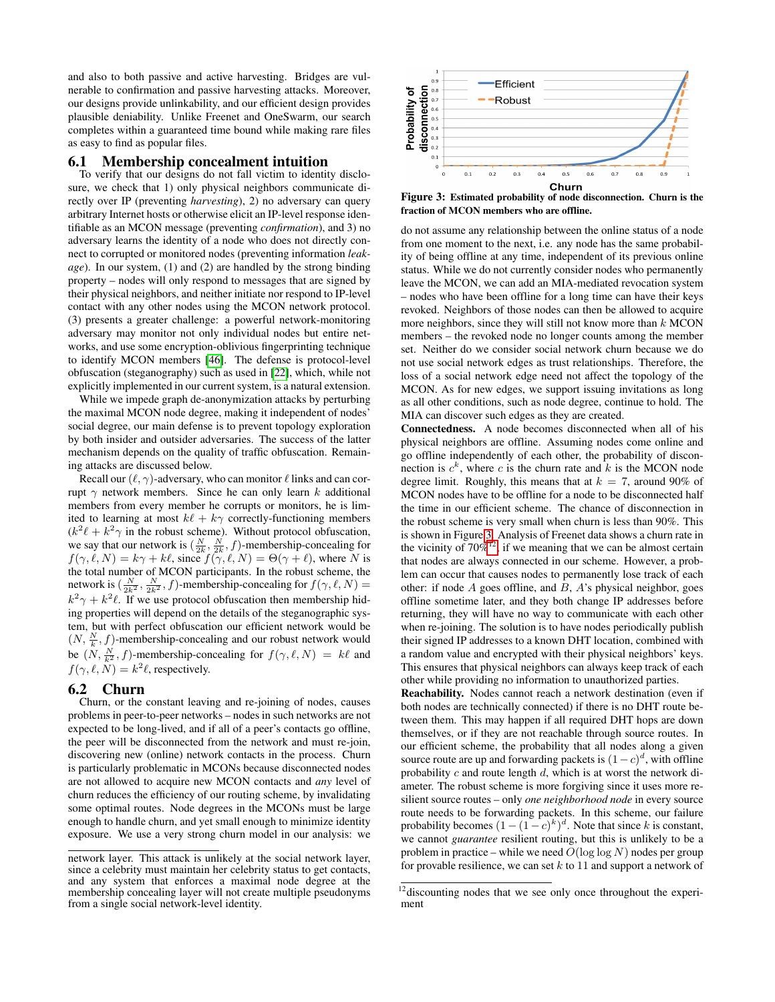and also to both passive and active harvesting. Bridges are vulnerable to confirmation and passive harvesting attacks. Moreover, our designs provide unlinkability, and our efficient design provides plausible deniability. Unlike Freenet and OneSwarm, our search completes within a guaranteed time bound while making rare files as easy to find as popular files.

#### 6.1 Membership concealment intuition

To verify that our designs do not fall victim to identity disclosure, we check that 1) only physical neighbors communicate directly over IP (preventing *harvesting*), 2) no adversary can query arbitrary Internet hosts or otherwise elicit an IP-level response identifiable as an MCON message (preventing *confirmation*), and 3) no adversary learns the identity of a node who does not directly connect to corrupted or monitored nodes (preventing information *leakage*). In our system, (1) and (2) are handled by the strong binding property – nodes will only respond to messages that are signed by their physical neighbors, and neither initiate nor respond to IP-level contact with any other nodes using the MCON network protocol. (3) presents a greater challenge: a powerful network-monitoring adversary may monitor not only individual nodes but entire networks, and use some encryption-oblivious fingerprinting technique to identify MCON members [\[46\]](#page-9-38). The defense is protocol-level obfuscation (steganography) such as used in [\[22\]](#page-9-47), which, while not explicitly implemented in our current system, is a natural extension.

While we impede graph de-anonymization attacks by perturbing the maximal MCON node degree, making it independent of nodes' social degree, our main defense is to prevent topology exploration by both insider and outsider adversaries. The success of the latter mechanism depends on the quality of traffic obfuscation. Remaining attacks are discussed below.

Recall our  $(\ell, \gamma)$ -adversary, who can monitor  $\ell$  links and can corrupt  $\gamma$  network members. Since he can only learn k additional members from every member he corrupts or monitors, he is limited to learning at most  $k\ell + k\gamma$  correctly-functioning members  $(k^2\ell + k^2\gamma)$  in the robust scheme). Without protocol obfuscation, we say that our network is  $(\frac{N}{2k}, \frac{N}{2k}, f)$ -membership-concealing for  $f(\gamma, \ell, N) = k\gamma + k\ell$ , since  $f(\gamma, \ell, N) = \Theta(\gamma + \ell)$ , where N is the total number of MCON participants. In the robust scheme, the network is  $(\frac{N}{2k^2}, \frac{N}{2k^2}, f)$ -membership-concealing for  $f(\gamma, \ell, N)$  =  $k^2\gamma + k^2\ell$ . If we use protocol obfuscation then membership hiding properties will depend on the details of the steganographic system, but with perfect obfuscation our efficient network would be  $(N, \frac{N}{k}, f)$ -membership-concealing and our robust network would be  $(N, \frac{N}{k^2}, f)$ -membership-concealing for  $f(\gamma, \ell, N) = k\ell$  and  $f(\gamma, \ell, N) = k^2 \ell$ , respectively.

## 6.2 Churn

Churn, or the constant leaving and re-joining of nodes, causes problems in peer-to-peer networks – nodes in such networks are not expected to be long-lived, and if all of a peer's contacts go offline, the peer will be disconnected from the network and must re-join, discovering new (online) network contacts in the process. Churn is particularly problematic in MCONs because disconnected nodes are not allowed to acquire new MCON contacts and *any* level of churn reduces the efficiency of our routing scheme, by invalidating some optimal routes. Node degrees in the MCONs must be large enough to handle churn, and yet small enough to minimize identity exposure. We use a very strong churn model in our analysis: we



<span id="page-7-0"></span>Figure 3: Estimated probability of node disconnection. Churn is the fraction of MCON members who are offline.

do not assume any relationship between the online status of a node from one moment to the next, i.e. any node has the same probability of being offline at any time, independent of its previous online status. While we do not currently consider nodes who permanently leave the MCON, we can add an MIA-mediated revocation system – nodes who have been offline for a long time can have their keys revoked. Neighbors of those nodes can then be allowed to acquire more neighbors, since they will still not know more than  $k$  MCON members – the revoked node no longer counts among the member set. Neither do we consider social network churn because we do not use social network edges as trust relationships. Therefore, the loss of a social network edge need not affect the topology of the MCON. As for new edges, we support issuing invitations as long as all other conditions, such as node degree, continue to hold. The MIA can discover such edges as they are created.

Connectedness. A node becomes disconnected when all of his physical neighbors are offline. Assuming nodes come online and go offline independently of each other, the probability of disconnection is  $c^k$ , where c is the churn rate and k is the MCON node degree limit. Roughly, this means that at  $k = 7$ , around 90% of MCON nodes have to be offline for a node to be disconnected half the time in our efficient scheme. The chance of disconnection in the robust scheme is very small when churn is less than 90%. This is shown in Figure [3.](#page-7-0) Analysis of Freenet data shows a churn rate in the vicinity of  $70\%^{12}$  $70\%^{12}$  $70\%^{12}$ , if we meaning that we can be almost certain that nodes are always connected in our scheme. However, a problem can occur that causes nodes to permanently lose track of each other: if node  $A$  goes offline, and  $B$ ,  $A$ 's physical neighbor, goes offline sometime later, and they both change IP addresses before returning, they will have no way to communicate with each other when re-joining. The solution is to have nodes periodically publish their signed IP addresses to a known DHT location, combined with a random value and encrypted with their physical neighbors' keys. This ensures that physical neighbors can always keep track of each other while providing no information to unauthorized parties.

Reachability. Nodes cannot reach a network destination (even if both nodes are technically connected) if there is no DHT route between them. This may happen if all required DHT hops are down themselves, or if they are not reachable through source routes. In our efficient scheme, the probability that all nodes along a given source route are up and forwarding packets is  $(1-c)^d$ , with offline probability  $c$  and route length  $d$ , which is at worst the network diameter. The robust scheme is more forgiving since it uses more resilient source routes – only *one neighborhood node* in every source route needs to be forwarding packets. In this scheme, our failure probability becomes  $(1-(1-c)^k)^d$ . Note that since k is constant, we cannot *guarantee* resilient routing, but this is unlikely to be a problem in practice – while we need  $O(\log \log N)$  nodes per group for provable resilience, we can set  $k$  to 11 and support a network of

network layer. This attack is unlikely at the social network layer, since a celebrity must maintain her celebrity status to get contacts, and any system that enforces a maximal node degree at the membership concealing layer will not create multiple pseudonyms from a single social network-level identity.

<span id="page-7-1"></span> $12\overline{d}$  iscounting nodes that we see only once throughout the experiment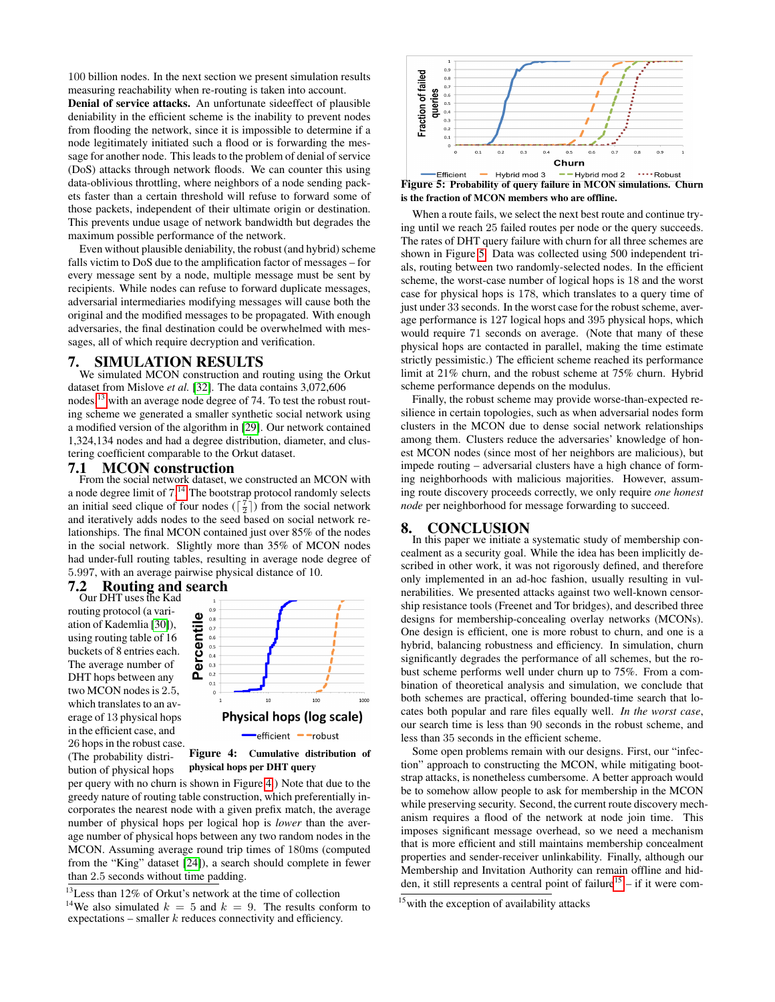100 billion nodes. In the next section we present simulation results measuring reachability when re-routing is taken into account.

Denial of service attacks. An unfortunate sideeffect of plausible deniability in the efficient scheme is the inability to prevent nodes from flooding the network, since it is impossible to determine if a node legitimately initiated such a flood or is forwarding the message for another node. This leads to the problem of denial of service (DoS) attacks through network floods. We can counter this using data-oblivious throttling, where neighbors of a node sending packets faster than a certain threshold will refuse to forward some of those packets, independent of their ultimate origin or destination. This prevents undue usage of network bandwidth but degrades the maximum possible performance of the network.

Even without plausible deniability, the robust (and hybrid) scheme falls victim to DoS due to the amplification factor of messages – for every message sent by a node, multiple message must be sent by recipients. While nodes can refuse to forward duplicate messages, adversarial intermediaries modifying messages will cause both the original and the modified messages to be propagated. With enough adversaries, the final destination could be overwhelmed with messages, all of which require decryption and verification.

## 7. SIMULATION RESULTS

We simulated MCON construction and routing using the Orkut dataset from Mislove *et al.* [\[32\]](#page-9-35). The data contains 3,072,606 nodes,<sup>[13](#page-8-0)</sup> with an average node degree of 74. To test the robust routing scheme we generated a smaller synthetic social network using a modified version of the algorithm in [\[29\]](#page-9-48). Our network contained 1,324,134 nodes and had a degree distribution, diameter, and clustering coefficient comparable to the Orkut dataset.

#### 7.1 MCON construction

From the social network dataset, we constructed an MCON with a node degree limit of 7.<sup>[14](#page-8-1)</sup> The bootstrap protocol randomly selects an initial seed clique of four nodes  $(\lceil \frac{7}{2} \rceil)$  from the social network and iteratively adds nodes to the seed based on social network relationships. The final MCON contained just over 85% of the nodes in the social network. Slightly more than 35% of MCON nodes had under-full routing tables, resulting in average node degree of 5.997, with an average pairwise physical distance of 10.

#### 7.2 Routing and search

Our DHT uses the Kad routing protocol (a variation of Kademlia [\[30\]](#page-9-27)), using routing table of 16 buckets of 8 entries each. The average number of DHT hops between any two MCON nodes is 2.5, which translates to an average of 13 physical hops in the efficient case, and 26 hops in the robust case. (The probability distribution of physical hops



<span id="page-8-2"></span>physical hops per DHT query

per query with no churn is shown in Figure [4.](#page-8-2)) Note that due to the greedy nature of routing table construction, which preferentially incorporates the nearest node with a given prefix match, the average number of physical hops per logical hop is *lower* than the average number of physical hops between any two random nodes in the MCON. Assuming average round trip times of 180ms (computed from the "King" dataset [\[24\]](#page-9-49)), a search should complete in fewer than 2.5 seconds without time padding.



<span id="page-8-3"></span>Figure 5: Probability of query failure in MCON simulations. Churn is the fraction of MCON members who are offline.

When a route fails, we select the next best route and continue trying until we reach 25 failed routes per node or the query succeeds. The rates of DHT query failure with churn for all three schemes are shown in Figure [5.](#page-8-3) Data was collected using 500 independent trials, routing between two randomly-selected nodes. In the efficient scheme, the worst-case number of logical hops is 18 and the worst case for physical hops is 178, which translates to a query time of just under 33 seconds. In the worst case for the robust scheme, average performance is 127 logical hops and 395 physical hops, which would require 71 seconds on average. (Note that many of these physical hops are contacted in parallel, making the time estimate strictly pessimistic.) The efficient scheme reached its performance limit at 21% churn, and the robust scheme at 75% churn. Hybrid scheme performance depends on the modulus.

Finally, the robust scheme may provide worse-than-expected resilience in certain topologies, such as when adversarial nodes form clusters in the MCON due to dense social network relationships among them. Clusters reduce the adversaries' knowledge of honest MCON nodes (since most of her neighbors are malicious), but impede routing – adversarial clusters have a high chance of forming neighborhoods with malicious majorities. However, assuming route discovery proceeds correctly, we only require *one honest node* per neighborhood for message forwarding to succeed.

## 8. CONCLUSION

In this paper we initiate a systematic study of membership concealment as a security goal. While the idea has been implicitly described in other work, it was not rigorously defined, and therefore only implemented in an ad-hoc fashion, usually resulting in vulnerabilities. We presented attacks against two well-known censorship resistance tools (Freenet and Tor bridges), and described three designs for membership-concealing overlay networks (MCONs). One design is efficient, one is more robust to churn, and one is a hybrid, balancing robustness and efficiency. In simulation, churn significantly degrades the performance of all schemes, but the robust scheme performs well under churn up to 75%. From a combination of theoretical analysis and simulation, we conclude that both schemes are practical, offering bounded-time search that locates both popular and rare files equally well. *In the worst case*, our search time is less than 90 seconds in the robust scheme, and less than 35 seconds in the efficient scheme.

Some open problems remain with our designs. First, our "infection" approach to constructing the MCON, while mitigating bootstrap attacks, is nonetheless cumbersome. A better approach would be to somehow allow people to ask for membership in the MCON while preserving security. Second, the current route discovery mechanism requires a flood of the network at node join time. This imposes significant message overhead, so we need a mechanism that is more efficient and still maintains membership concealment properties and sender-receiver unlinkability. Finally, although our Membership and Invitation Authority can remain offline and hid-den, it still represents a central point of failure<sup>[15](#page-8-4)</sup> – if it were com-

<span id="page-8-0"></span> $13$ Less than 12% of Orkut's network at the time of collection

<span id="page-8-1"></span><sup>&</sup>lt;sup>14</sup>We also simulated  $k = 5$  and  $k = 9$ . The results conform to expectations – smaller  $k$  reduces connectivity and efficiency.

<span id="page-8-4"></span> $15$  with the exception of availability attacks